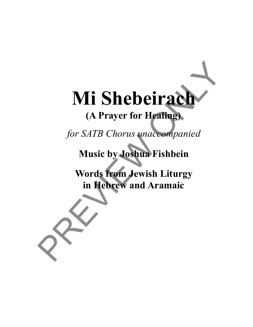# Mi Shebeirach

# **(A Prayer for Healing)**

*for SATB Chorus unaccompanied*

**Music by Joshua Fishbein**

**Words from Jewish Liturgy in Hebrew and Aramaic**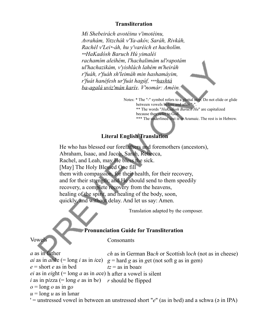#### **Transliteration**

*Mi Shebeirách avotéinu v'imotéinu, Avrahám, Yitzchák v'Ya-akóv, Saráh, Rivkáh, Rachél v'Lei\*-áh, hu y'varéich et hacholím. \*\*HaKadósh Baruch Hú yimaléi rachamím aleihém, l'hachalimám ul'rapotám ul'hachazikám, v'yishlách lahém m'heiráh r'fuáh, r'fuáh sh'leimáh min hashamáyim, r'fuát hanéfesh ur'fuát hagúf, \*\*\*hashtá ba-agalá uviz'mán karív*. *V'nomár: Améin.*

> Notes: \* The "-" symbol refers to a glottal stop. Do not elide or glide between vowels before and after "-". \*\* The words "*HaKadosh Baruch Hu*" are capitalized because they refer to God. \*\*\* The underlined text is in Aramaic. The rest is in Hebrew.

## **Literal English Translation**

He who has blessed our forefathers and foremothers (ancestors), Abraham, Isaac, and Jacob, Sarah, Rebecca, Rachel, and Leah, may He bless the sick. [May] The Holy Blessed One fill them with compassion, for their health, for their recovery, and for their strength; and He should send to them speedily recovery, a complete recovery from the heavens, healing of the spirit, and healing of the body, soon, quickly, and without delay. And let us say: Amen.

Translation adapted by the composer.

### **Pronunciation Guide for Transliteration**

Vowels

**Consonants** 

| <i>a</i> as in father                                                                      | <i>ch</i> as in German Bach or Scottish loch (not as in cheese)                                                                              |
|--------------------------------------------------------------------------------------------|----------------------------------------------------------------------------------------------------------------------------------------------|
|                                                                                            | <i>ai</i> as in <i>ai</i> sle (= long <i>i</i> as in <i>i</i> ce) $g =$ hard <i>g</i> as in <i>get</i> (not soft <i>g</i> as in <i>gem</i> ) |
| $e$ = short <i>e</i> as in bed                                                             | $tz =$ as in boats                                                                                                                           |
| <i>ei</i> as in <i>eight</i> (= long <i>a</i> as in <i>ace</i> ) h after a vowel is silent |                                                                                                                                              |
| <i>i</i> as in pizza (= long <i>e</i> as in be) <i>r</i> should be flipped                 |                                                                                                                                              |
| $o = \text{long } o$ as in go                                                              |                                                                                                                                              |
| $u = \log u$ as in lunar                                                                   |                                                                                                                                              |
|                                                                                            | $'$ = unstressed vowel in between an unstressed short "e" (as in bed) and a schwa ( $\phi$ in IPA)                                           |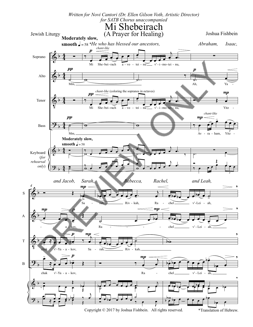

Copyright © 2017 by Joshua Fishbein. All rights reserved.

\*Translation of Hebrew.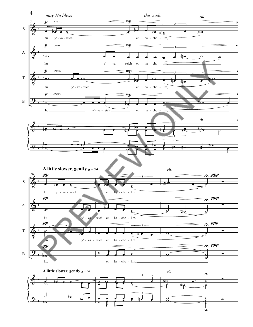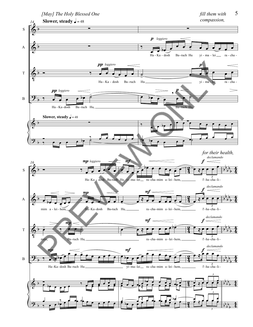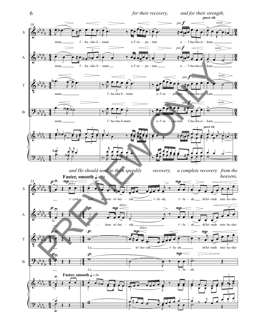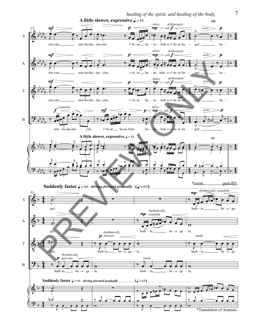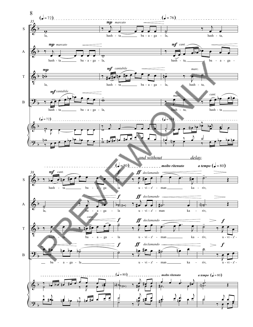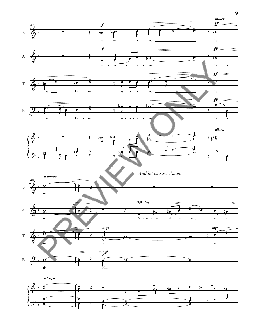

9